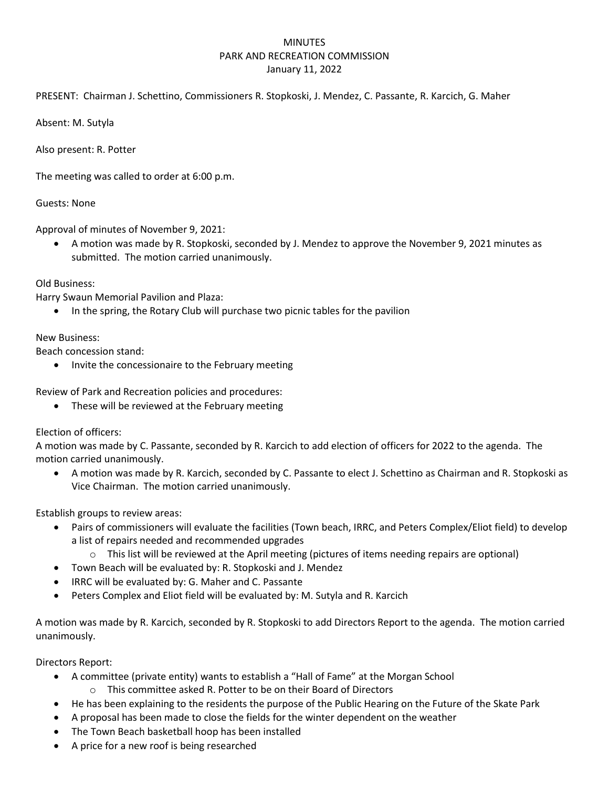## MINUTES PARK AND RECREATION COMMISSION January 11, 2022

PRESENT: Chairman J. Schettino, Commissioners R. Stopkoski, J. Mendez, C. Passante, R. Karcich, G. Maher

Absent: M. Sutyla

Also present: R. Potter

The meeting was called to order at 6:00 p.m.

Guests: None

Approval of minutes of November 9, 2021:

 A motion was made by R. Stopkoski, seconded by J. Mendez to approve the November 9, 2021 minutes as submitted. The motion carried unanimously.

## Old Business:

Harry Swaun Memorial Pavilion and Plaza:

In the spring, the Rotary Club will purchase two picnic tables for the pavilion

## New Business:

Beach concession stand:

• Invite the concessionaire to the February meeting

Review of Park and Recreation policies and procedures:

• These will be reviewed at the February meeting

Election of officers:

A motion was made by C. Passante, seconded by R. Karcich to add election of officers for 2022 to the agenda. The motion carried unanimously.

 A motion was made by R. Karcich, seconded by C. Passante to elect J. Schettino as Chairman and R. Stopkoski as Vice Chairman. The motion carried unanimously.

Establish groups to review areas:

- Pairs of commissioners will evaluate the facilities (Town beach, IRRC, and Peters Complex/Eliot field) to develop a list of repairs needed and recommended upgrades
	- $\circ$  This list will be reviewed at the April meeting (pictures of items needing repairs are optional)
- Town Beach will be evaluated by: R. Stopkoski and J. Mendez
- IRRC will be evaluated by: G. Maher and C. Passante
- Peters Complex and Eliot field will be evaluated by: M. Sutyla and R. Karcich

A motion was made by R. Karcich, seconded by R. Stopkoski to add Directors Report to the agenda. The motion carried unanimously.

Directors Report:

- A committee (private entity) wants to establish a "Hall of Fame" at the Morgan School
	- o This committee asked R. Potter to be on their Board of Directors
- He has been explaining to the residents the purpose of the Public Hearing on the Future of the Skate Park
- A proposal has been made to close the fields for the winter dependent on the weather
- The Town Beach basketball hoop has been installed
- A price for a new roof is being researched